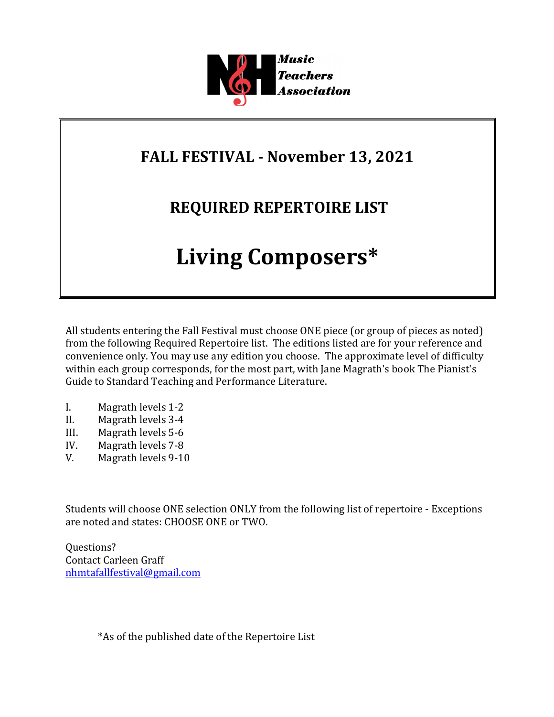

## **FALL FESTIVAL - November 13, 2021**

## **REQUIRED REPERTOIRE LIST**

# **Living Composers\***

All students entering the Fall Festival must choose ONE piece (or group of pieces as noted) from the following Required Repertoire list. The editions listed are for your reference and convenience only. You may use any edition you choose. The approximate level of difficulty within each group corresponds, for the most part, with Jane Magrath's book The Pianist's Guide to Standard Teaching and Performance Literature.

- I. Magrath levels 1-2
- II. Magrath levels 3-4
- III. Magrath levels 5-6
- IV. Magrath levels 7-8
- V. Magrath levels 9-10

Students will choose ONE selection ONLY from the following list of repertoire - Exceptions are noted and states: CHOOSE ONE or TWO.

Questions? Contact Carleen Graff nhmtafallfestival@gmail.com

\*As of the published date of the Repertoire List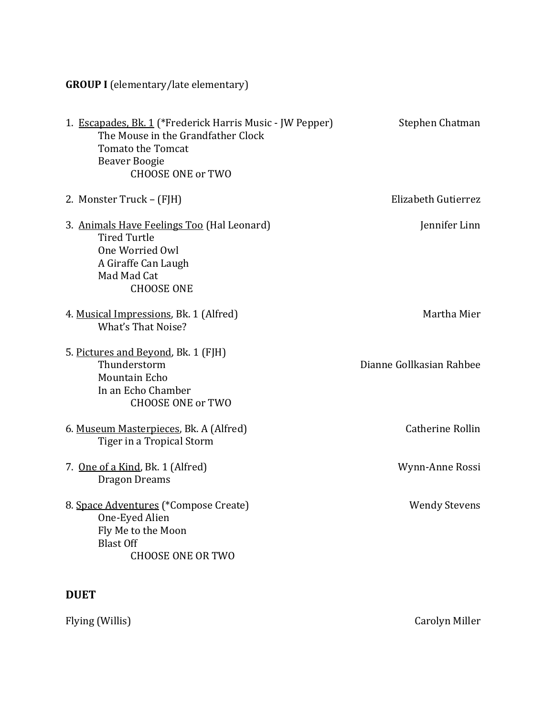**GROUP I** (elementary/late elementary)

| 1. Escapades, Bk. 1 (*Frederick Harris Music - JW Pepper)<br>The Mouse in the Grandfather Clock<br><b>Tomato the Tomcat</b><br><b>Beaver Boogie</b><br><b>CHOOSE ONE or TWO</b> | Stephen Chatman          |
|---------------------------------------------------------------------------------------------------------------------------------------------------------------------------------|--------------------------|
| 2. Monster Truck – (FJH)                                                                                                                                                        | Elizabeth Gutierrez      |
| 3. Animals Have Feelings Too (Hal Leonard)<br><b>Tired Turtle</b><br>One Worried Owl<br>A Giraffe Can Laugh<br>Mad Mad Cat<br><b>CHOOSE ONE</b>                                 | Jennifer Linn            |
| 4. Musical Impressions, Bk. 1 (Alfred)<br><b>What's That Noise?</b>                                                                                                             | Martha Mier              |
| 5. Pictures and Beyond, Bk. 1 (FJH)<br>Thunderstorm<br>Mountain Echo<br>In an Echo Chamber<br><b>CHOOSE ONE or TWO</b>                                                          | Dianne Gollkasian Rahbee |
| 6. Museum Masterpieces, Bk. A (Alfred)<br>Tiger in a Tropical Storm                                                                                                             | <b>Catherine Rollin</b>  |
| 7. One of a Kind, Bk. 1 (Alfred)<br><b>Dragon Dreams</b>                                                                                                                        | Wynn-Anne Rossi          |
| 8. Space Adventures (*Compose Create)<br>One-Eyed Alien<br>Fly Me to the Moon<br><b>Blast Off</b><br><b>CHOOSE ONE OR TWO</b>                                                   | <b>Wendy Stevens</b>     |

### **DUET**

Flying (Willis) **Carolyn Miller**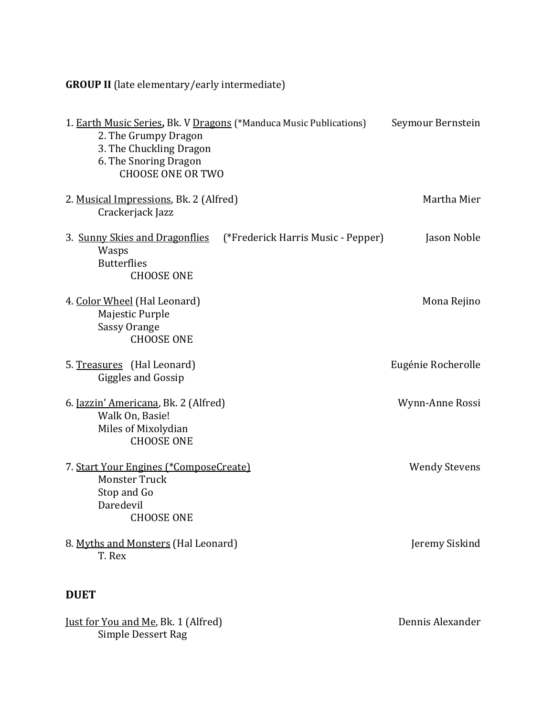**GROUP II** (late elementary/early intermediate)

| 1. Earth Music Series, Bk. V Dragons (*Manduca Music Publications)<br>2. The Grumpy Dragon<br>3. The Chuckling Dragon<br>6. The Snoring Dragon<br><b>CHOOSE ONE OR TWO</b> |                                    | Seymour Bernstein    |
|----------------------------------------------------------------------------------------------------------------------------------------------------------------------------|------------------------------------|----------------------|
| 2. Musical Impressions, Bk. 2 (Alfred)<br>Crackerjack Jazz                                                                                                                 |                                    | Martha Mier          |
| 3. Sunny Skies and Dragonflies<br>Wasps<br><b>Butterflies</b><br><b>CHOOSE ONE</b>                                                                                         | (*Frederick Harris Music - Pepper) | Jason Noble          |
| 4. Color Wheel (Hal Leonard)<br>Majestic Purple<br><b>Sassy Orange</b><br><b>CHOOSE ONE</b>                                                                                |                                    | Mona Rejino          |
| 5. Treasures (Hal Leonard)<br><b>Giggles and Gossip</b>                                                                                                                    |                                    | Eugénie Rocherolle   |
| 6. <u>Jazzin' Americana</u> , Bk. 2 (Alfred)<br>Walk On, Basie!<br>Miles of Mixolydian<br><b>CHOOSE ONE</b>                                                                |                                    | Wynn-Anne Rossi      |
| 7. Start Your Engines (*ComposeCreate)<br><b>Monster Truck</b><br>Stop and Go<br>Daredevil<br><b>CHOOSE ONE</b>                                                            |                                    | <b>Wendy Stevens</b> |
| 8. Myths and Monsters (Hal Leonard)<br>T. Rex                                                                                                                              |                                    | Jeremy Siskind       |
| <b>DUET</b>                                                                                                                                                                |                                    |                      |
| Just for You and Me, Bk. 1 (Alfred)                                                                                                                                        |                                    | Dennis Alexander     |

Simple Dessert Rag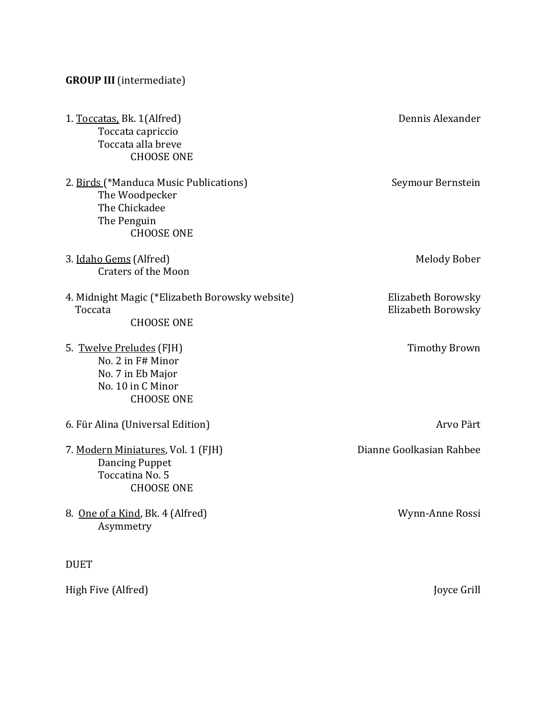#### **GROUP III** (intermediate)

| 1. Toccatas, Bk. 1(Alfred)<br>Toccata capriccio<br>Toccata alla breve<br><b>CHOOSE ONE</b>                    | Dennis Alexander                         |
|---------------------------------------------------------------------------------------------------------------|------------------------------------------|
| 2. Birds (*Manduca Music Publications)<br>The Woodpecker<br>The Chickadee<br>The Penguin<br><b>CHOOSE ONE</b> | Seymour Bernstein                        |
| 3. Idaho Gems (Alfred)<br><b>Craters of the Moon</b>                                                          | Melody Bober                             |
| 4. Midnight Magic (*Elizabeth Borowsky website)<br>Toccata<br><b>CHOOSE ONE</b>                               | Elizabeth Borowsky<br>Elizabeth Borowsky |
| 5. Twelve Preludes (FJH)<br>No. 2 in F# Minor<br>No. 7 in Eb Major<br>No. 10 in C Minor<br><b>CHOOSE ONE</b>  | <b>Timothy Brown</b>                     |
| 6. Für Alina (Universal Edition)                                                                              | Arvo Pärt                                |
| 7. Modern Miniatures, Vol. 1 (FJH)<br><b>Dancing Puppet</b><br>Toccatina No. 5<br><b>CHOOSE ONE</b>           | Dianne Goolkasian Rahbee                 |
| 8. One of a Kind, Bk. 4 (Alfred)<br>Asymmetry                                                                 | Wynn-Anne Rossi                          |
| <b>DUET</b>                                                                                                   |                                          |
| High Five (Alfred)                                                                                            | Joyce Grill                              |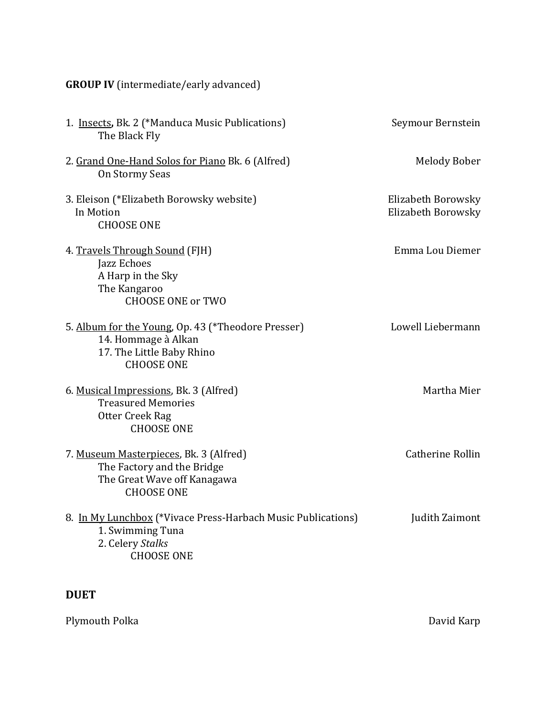|  |  | <b>GROUP IV</b> (intermediate/early advanced) |
|--|--|-----------------------------------------------|
|--|--|-----------------------------------------------|

| 1. Insects, Bk. 2 (*Manduca Music Publications)<br>The Black Fly                                                            | Seymour Bernstein                        |
|-----------------------------------------------------------------------------------------------------------------------------|------------------------------------------|
| 2. Grand One-Hand Solos for Piano Bk. 6 (Alfred)<br>On Stormy Seas                                                          | <b>Melody Bober</b>                      |
| 3. Eleison (*Elizabeth Borowsky website)<br>In Motion<br><b>CHOOSE ONE</b>                                                  | Elizabeth Borowsky<br>Elizabeth Borowsky |
| 4. Travels Through Sound (FJH)<br>Jazz Echoes<br>A Harp in the Sky<br>The Kangaroo<br><b>CHOOSE ONE or TWO</b>              | Emma Lou Diemer                          |
| 5. Album for the Young, Op. 43 (*Theodore Presser)<br>14. Hommage à Alkan<br>17. The Little Baby Rhino<br><b>CHOOSE ONE</b> | Lowell Liebermann                        |
| 6. Musical Impressions, Bk. 3 (Alfred)<br><b>Treasured Memories</b><br>Otter Creek Rag<br><b>CHOOSE ONE</b>                 | Martha Mier                              |
| 7. Museum Masterpieces, Bk. 3 (Alfred)<br>The Factory and the Bridge<br>The Great Wave off Kanagawa<br><b>CHOOSE ONE</b>    | Catherine Rollin                         |
| 8. In My Lunchbox (*Vivace Press-Harbach Music Publications)<br>1. Swimming Tuna<br>2. Celery Stalks<br><b>CHOOSE ONE</b>   | Judith Zaimont                           |

#### **DUET**

Plymouth Polka **David Karp**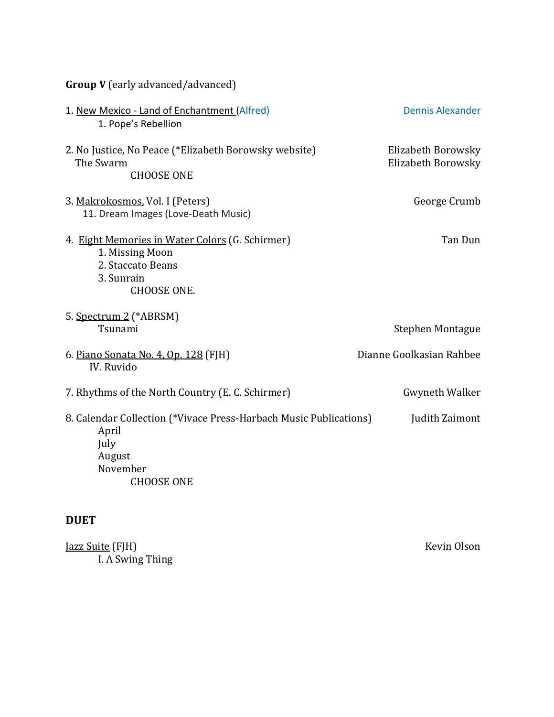|  | <b>Group V</b> (early advanced/advanced) |  |
|--|------------------------------------------|--|
|--|------------------------------------------|--|

| 1. New Mexico - Land of Enchantment (Alfred)<br>1. Pope's Rebellion                                                           | <b>Dennis Alexander</b>                  |
|-------------------------------------------------------------------------------------------------------------------------------|------------------------------------------|
| 2. No Justice, No Peace (*Elizabeth Borowsky website)<br>The Swarm<br><b>CHOOSE ONE</b>                                       | Elizabeth Borowsky<br>Elizabeth Borowsky |
| 3. Makrokosmos, Vol. I (Peters)<br>11. Dream Images (Love-Death Music)                                                        | George Crumb                             |
| 4. Eight Memories in Water Colors (G. Schirmer)<br>1. Missing Moon<br>2. Staccato Beans<br>3. Sunrain<br><b>CHOOSE ONE.</b>   | Tan Dun                                  |
| 5. Spectrum 2 (*ABRSM)<br>Tsunami                                                                                             | <b>Stephen Montague</b>                  |
| 6. Piano Sonata No. 4, Op. 128 (FJH)<br><b>IV.</b> Ruvido                                                                     | Dianne Goolkasian Rahbee                 |
| 7. Rhythms of the North Country (E. C. Schirmer)                                                                              | <b>Gwyneth Walker</b>                    |
| 8. Calendar Collection (*Vivace Press-Harbach Music Publications)<br>April<br>July<br>August<br>November<br><b>CHOOSE ONE</b> | Judith Zaimont                           |

#### **DUET**

| Jazz Suite (FJH) | Kevin Olson |
|------------------|-------------|
| I. A Swing Thing |             |